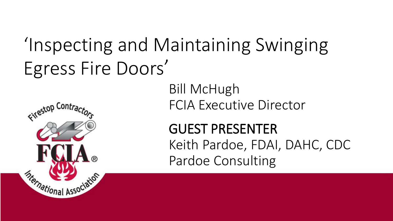# 'Inspecting and Maintaining Swinging Egress Fire Doors'

Firestop Contrad

*Sternational Associ* 

Bill McHugh FCIA Executive Director

GUEST PRESENTER Keith Pardoe, FDAI, DAHC, CDC Pardoe Consulting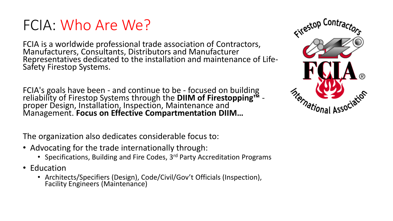#### FCIA: Who Are We?

FCIA is a worldwide professional trade association of Contractors, Manufacturers, Consultants, Distributors and Manufacturer Representatives dedicated to the installation and maintenance of Life-Safety Firestop Systems.

FCIA's goals have been - and continue to be - focused on building reliability of Firestop Systems through the **DIIM of Firestopping™** proper Design, Installation, Inspection, Maintenance and Management. **Focus on Effective Compartmentation DIIM…**

The organization also dedicates considerable focus to:

- Advocating for the trade internationally through:
	- Specifications, Building and Fire Codes, 3<sup>rd</sup> Party Accreditation Programs
- Education
	- Architects/Specifiers (Design), Code/Civil/Gov't Officials (Inspection), Facility Engineers (Maintenance)

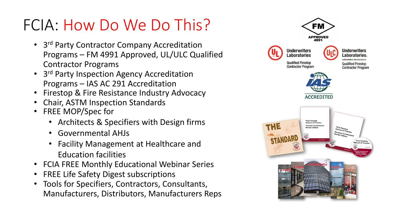## FCIA: How Do We Do This?

- 3<sup>rd</sup> Party Contractor Company Accreditation Programs – FM 4991 Approved, UL/ULC Qualified Contractor Programs
- 3<sup>rd</sup> Party Inspection Agency Accreditation Programs – IAS AC 291 Accreditation
- Firestop & Fire Resistance Industry Advocacy
- Chair, ASTM Inspection Standards
- FREE MOP/Spec for
	- Architects & Specifiers with Design firms
	- Governmental AHJs
	- Facility Management at Healthcare and Education facilities
- FCIA FREE Monthly Educational Webinar Series
- FREE Life Safety Digest subscriptions
- Tools for Specifiers, Contractors, Consultants, Manufacturers, Distributors, Manufacturers Reps

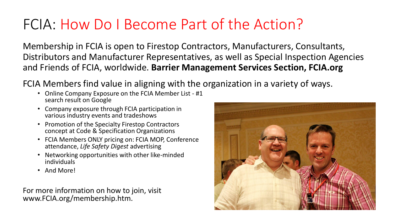#### FCIA: How Do I Become Part of the Action?

Membership in FCIA is open to Firestop Contractors, Manufacturers, Consultants, Distributors and Manufacturer Representatives, as well as Special Inspection Agencies and Friends of FCIA, worldwide. **Barrier Management Services Section, FCIA.org**

FCIA Members find value in aligning with the organization in a variety of ways.

- Online Company Exposure on the FCIA Member List #1 search result on Google
- Company exposure through FCIA participation in various industry events and tradeshows
- Promotion of the Specialty Firestop Contractors concept at Code & Specification Organizations
- FCIA Members ONLY pricing on: FCIA MOP, Conference attendance, *Life Safety Digest* advertising
- Networking opportunities with other like-minded individuals
- And More!

For more information on how to join, visit www.FCIA.org/membership.htm.

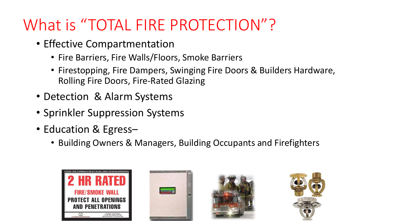## What is "TOTAL FIRE PROTECTION"?

- Effective Compartmentation
	- Fire Barriers, Fire Walls/Floors, Smoke Barriers
	- Firestopping, Fire Dampers, Swinging Fire Doors & Builders Hardware, Rolling Fire Doors, Fire-Rated Glazing
- Detection & Alarm Systems
- Sprinkler Suppression Systems
- Education & Egress–
	- Building Owners & Managers, Building Occupants and Firefighters







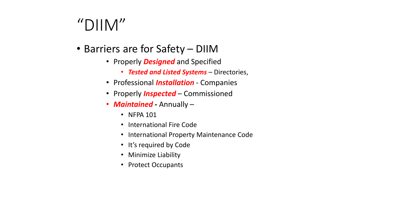### " $DIIM"$

- Barriers are for Safety DIIM
	- Properly *Designed* and Specified
		- *Tested and Listed Systems*  Directories,
	- Professional *Installation*  Companies
	- Properly *Inspected*  Commissioned
	- *Maintained -* Annually
		- NFPA 101
		- International Fire Code
		- International Property Maintenance Code
		- It's required by Code
		- Minimize Liability
		- Protect Occupants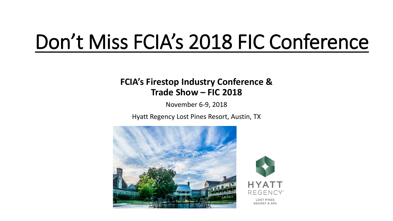# Don't Miss FCIA's 2018 FIC Conference

#### **FCIA's Firestop Industry Conference & Trade Show – FIC 2018**

November 6-9, 2018

Hyatt Regency Lost Pines Resort, Austin, TX



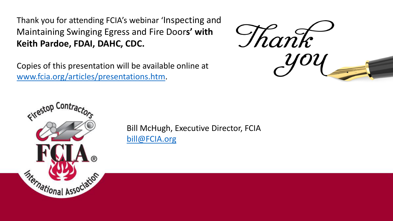Thank you for attending FCIA's webinar 'Inspecting and Maintaining Swinging Egress and Fire Door**s' with Keith Pardoe, FDAI, DAHC, CDC.**

Copies of this presentation will be available online at [www.fcia.org/articles/presentations.htm.](http://www.fcia.org/articles/presentations.htm)





Bill McHugh, Executive Director, FCIA [bill@FCIA.org](mailto:bill@FCIA.org)